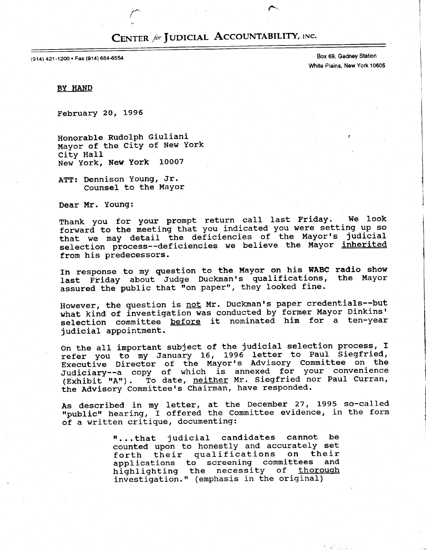# CENTER for JUDICIAL ACCOUNTABILITY, INC.

 $\blackcap$ 

(914) 421-1200 · Fax (914) 684-6554

Box 69, Gedney Station White Piains, New York 10605

BY HAND

FebruarY 20, L996

Honorable Rudolph Giuliani Mayor of the CitY of New York citY HaII New York, New York L0007

ATT: Dennison Young, Jr. Counsel to the Mayor

Dear Mr. Young:

Thank you for your prompt return call last Friday. We look forward to the meeting that you indicated you were setting up so that we may detail the deficiencies of the Mayor's judicial selection process--deficiencies we believe the Mayor inherited from his predecessors.

In response to my guestion to the Mayor on his WABC radio show last Friday about Judge Duckman's qualifications, the Mayor assured the public that "on paper", they looked fine.

However, the question is not Mr. Duckman's paper credentials--but what kind of investigation was conducted by former Mayor Dinkins' selection committee before it nominated him for a ten-year judicial appointment.

On the all important subject of the judicial selection process, I refer you to my January 16, 1996 letter to Paul Siegfried, nately you be my cunnely low provis Advisory Committee on the Judiciary--a copy of which is annexed for your convenience (Exhibit "A"). To date, neither Mr. Siegfried nor Paul Curran, the Advisory Committee's Chairman, have responded.

As described in my letter, at the December 27, 1995 so-calle "public" hearing, I offered the Committee evidence, in the form of a written critique, documenting:

> "...that judicial candidates cannot be counted upon to honestly and accurately set forth their qualifications on their applications to screening committees and highlighting the necessity of thorough investigation." (emphasis in the original)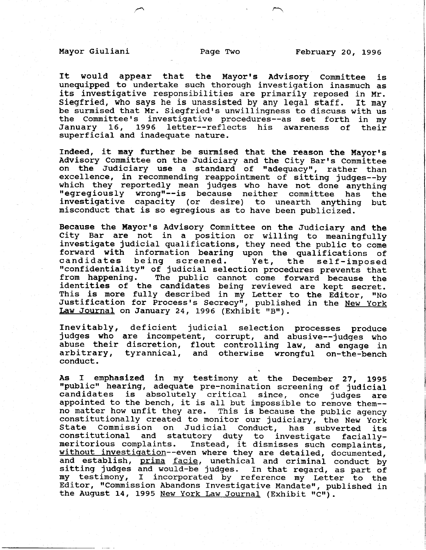It would appear that the Mayor's Advisory Committee is unequipped to undertake such thorough investigation inasmuch as its investigative responsibilities are primarily reposed in Mr. Siegfried, who says he is unassisted by any legal staff. It may be surmised that Mr. Siegfried's unwillingness to discuss with us the Committee's investigative procedures--as set forth in my<br>January 16, 1996 letter--reflects his awareness of their 1996 letter--reflects his awareness of their superficial and inadequate nature.

Indeed, it may further be surmised that the reason the Mayor's Advisory Committee on the Judiciary and the City Bar's Committee on the Judiciary use a standard of "adequacy", rather than excellence, in recommending reappointment of sitting judges--by which they reportedly mean judges who have not done anything<br>"egregiously wrong"--is because neither committee has the investigative capacity (or desire) to unearth anything but misconduct that is so egregious as to have been publicized.

Because the Mayor's Advisory Committee on the Judiciary and the City Bar are not in a position or willing to meaningfully investigate judicial qualifications, they need the public to come forward with information bearing upon the qualifications of<br>candidates being screened. Yet, the self-imposed candidates being screened. Yet, the self-imposed<br>"confidentiality" of judicial selection procedures prevents that<br>from happening. The public cannot come forward because the The public cannot come forward because the identities of the candidates being reviewed are kept secret This is more fully described in my Letter to the Editor, "No Justification for Process's Secrecy", published in the <u>New Yor</u> Law Journal on January 24, 1996 (Exhibit "B").

Inevitably, deficient judicial selection processes produce judges who are incompetent, corrupt, and abusive--judges who abuse their discretion, flout controlling law, and engage in arbitrary, tyrannical, and otherwise wrongful on-the-bench conduct.

As I emphasized in my testimony at the December 27, 1995<br>"public" hearing, adequate pre-nomination screening of judicial<br>candidates is absolutely critical since, once judges are is absolutely critical since, once judges are appointed to the bench, it is all but impossible to remove them-no matter how unfit they are. This is because the public agency constitutionally created to monitor our judiciary, the New York<br>State Commission on Judicial Conduct, has subverted its State Commission on Judicial Conduct, has subverted its<br>constitutional and statutory duty to investigate faciallyand statutory duty to investigate faciallymeritorious complaints. Instead, it dismisses such complaint without investigation--even where they are detailed, documented and establish, prima facie, unethical and criminal conduct by sitting judges and would-be judges. In that regard, as part of my testimony, r incorporated by reference my Letter to the Editor, "Commission Abandons Investigative Mandate", published in the August 14, 1995 New York Law Journal (Exhibit "C").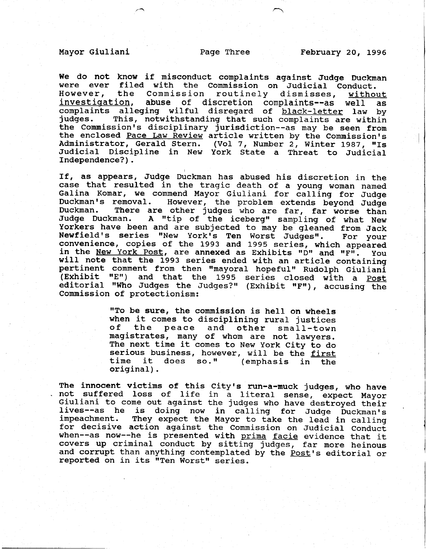We do not know if misconduct complaints against Judge Duckman were ever filed with the Commission on Judicial Conduct. However, the Commission routinely dismisses, without investigation, abuse of discretion complaints--as well as complaints alleging wilful disregard of black-letter law by<br>judges. This, notwithstanding that such complaints are within This, notwithstanding that such complaints are within the Commission's disciplinary jurisdiction--as may be seen from the enclosed Pace Law Review article written by the Commission's Administrator, Gerald Stern. (Vol 7, Number 2, Winter 1987, "Is Judicial Discipline in New York State a Threat to Judicial Independence?) .

If, as appears, Judge Duckman has abused his discretion in the case that resulted in the tragic death of a young woman named Galina Komar, we commend Mayor Giuliani for calling for Judge<br>Duckman's removal. However, the problem extends beyond Judge Duckman's removal. However, the problem extends beyond Judge<br>Duckman. There are other iudges who are far, far worse than There are other judges who are far, far worse than Judge Duckman. A "tip of the iceberg" sampling of what New Yorkers have been and are subjected to may be gleaned from Jack<br>Newfield's series "New York's Ten Worst Judges". For your Newfield's series "New York's Ten Worst Judges". convenience, copies of the 1993 and 1995 series, which appeare in the <u>New York Post</u>, are annexed as Exhibits "D" and "F". You will note that the 1993 series ended with an article containing pertinent comment from then "mayoral hopeful" Rudolph Giuliani (Exhibit "E") and that the 1995 series closed with a Post editorial "Who Judges the Judges?" (Exhibit "F"), accusing the Conmission of protectionism:

> "To be sure, the commission is hell on wheels when it comes to disciplining rural justices<br>of the peace and other small-town peace and other small-town magistrates, many of whom are not lawyers. The next time it comes to New york City to do serious business, however, will be the first<br>time it does so." (emphasis in the (emphasis in the original).

The innocent victims of this City's run-a-muck judges, who have not suffered loss of life in a literal sense, expect Mayor Giuliani to come out against the judges who have destroyed their lives--as he is doing now in calling for Judge Duckman's<br>impeachment. They expect the Mayor to take the lead in calling They expect the Mayor to take the lead in calling for decisive action against the Commission on Judicial Conduct when--as now--he is presented with prima facie evidence that it covers up criminal conduct by sitting judges, far more heinous and corrupt than anything contemplated by the Post's editorial or reported on in its "Ten Worst" series.